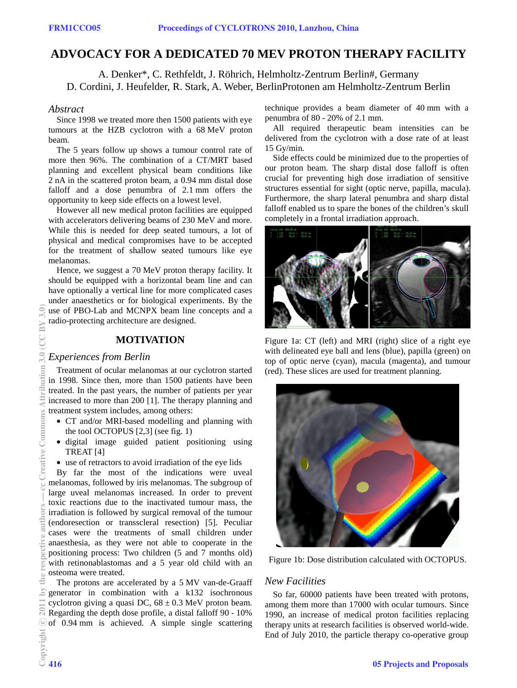# **ADVOCACY FOR A DEDICATED 70 MEV PROTON THERAPY FACILITY**

A. Denker\*, C. Rethfeldt, J. Röhrich, Helmholtz-Zentrum Berlin#, Germany D. Cordini, J. Heufelder, R. Stark, A. Weber, BerlinProtonen am Helmholtz-Zentrum Berlin

### *Abstract*

Since 1998 we treated more then 1500 patients with eye tumours at the HZB cyclotron with a 68 MeV proton beam.

The 5 years follow up shows a tumour control rate of more then 96%. The combination of a CT/MRT based planning and excellent physical beam conditions like 2 nA in the scattered proton beam, a 0.94 mm distal dose falloff and a dose penumbra of 2.1 mm offers the opportunity to keep side effects on a lowest level.

However all new medical proton facilities are equipped with accelerators delivering beams of 230 MeV and more. While this is needed for deep seated tumours, a lot of physical and medical compromises have to be accepted for the treatment of shallow seated tumours like eye melanomas.

Hence, we suggest a 70 MeV proton therapy facility. It should be equipped with a horizontal beam line and can have optionally a vertical line for more complicated cases under anaesthetics or for biological experiments. By the use of PBO-Lab and MCNPX beam line concepts and a radio-protecting architecture are designed.

## **MOTIVATION**

## *Experiences from Berlin*

Treatment of ocular melanomas at our cyclotron started in 1998. Since then, more than 1500 patients have been treated. In the past years, the number of patients per year increased to more than 200 [1]. The therapy planning and treatment system includes, among others:

- CT and/or MRI-based modelling and planning with the tool OCTOPUS [2,3] (see fig. 1)
- digital image guided patient positioning using TREAT [4]
- use of retractors to avoid irradiation of the eye lids

By far the most of the indications were uveal melanomas, followed by iris melanomas. The subgroup of large uveal melanomas increased. In order to prevent toxic reactions due to the inactivated tumour mass, the irradiation is followed by surgical removal of the tumour (endoresection or transscleral resection) [5]. Peculiar cases were the treatments of small children under anaesthesia, as they were not able to cooperate in the positioning process: Two children (5 and 7 months old) with retinonablastomas and a 5 year old child with an osteoma were treated.

The protons are accelerated by a 5 MV van-de-Graaff generator in combination with a k132 isochronous cyclotron giving a quasi DC,  $68 \pm 0.3$  MeV proton beam. Regarding the depth dose profile, a distal falloff 90 - 10% of 0.94 mm is achieved. A simple single scattering technique provides a beam diameter of 40 mm with a penumbra of 80 - 20% of 2.1 mm.

All required therapeutic beam intensities can be delivered from the cyclotron with a dose rate of at least 15 Gy/min.

Side effects could be minimized due to the properties of our proton beam. The sharp distal dose falloff is often crucial for preventing high dose irradiation of sensitive structures essential for sight (optic nerve, papilla, macula). Furthermore, the sharp lateral penumbra and sharp distal falloff enabled us to spare the bones of the children's skull completely in a frontal irradiation approach.



Figure 1a: CT (left) and MRI (right) slice of a right eye with delineated eye ball and lens (blue), papilla (green) on top of optic nerve (cyan), macula (magenta), and tumour (red). These slices are used for treatment planning.



Figure 1b: Dose distribution calculated with OCTOPUS.

## *New Facilities*

So far, 60000 patients have been treated with protons, among them more than 17000 with ocular tumours. Since 1990, an increase of medical proton facilities replacing therapy units at research facilities is observed world-wide. End of July 2010, the particle therapy co-operative group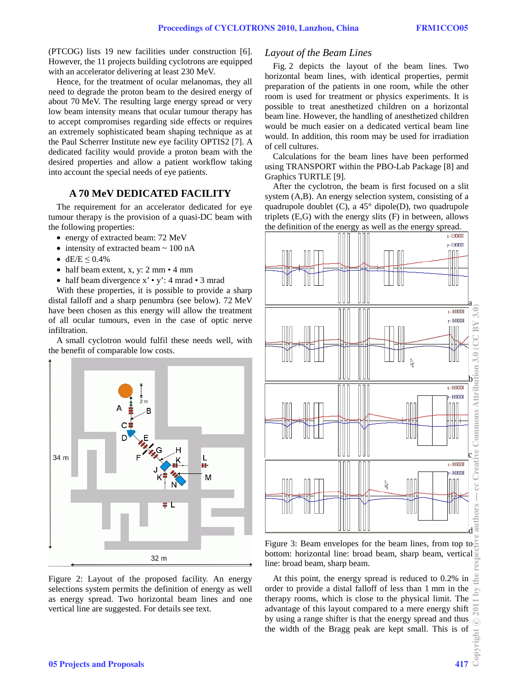(PTCOG) lists 19 new facilities under construction [6]. However, the 11 projects building cyclotrons are equipped with an accelerator delivering at least 230 MeV.

Hence, for the treatment of ocular melanomas, they all need to degrade the proton beam to the desired energy of about 70 MeV. The resulting large energy spread or very low beam intensity means that ocular tumour therapy has to accept compromises regarding side effects or requires an extremely sophisticated beam shaping technique as at the Paul Scherrer Institute new eye facility OPTIS2 [7]. A dedicated facility would provide a proton beam with the desired properties and allow a patient workflow taking into account the special needs of eye patients.

## **A 70 MeV DEDICATED FACILITY**

The requirement for an accelerator dedicated for eye tumour therapy is the provision of a quasi-DC beam with the following properties:

- energy of extracted beam: 72 MeV
- intensity of extracted beam  $\sim 100$  nA
- $dE/E \le 0.4\%$
- half beam extent, x, y: 2 mm 4 mm
- half beam divergence x' y': 4 mrad 3 mrad

With these properties, it is possible to provide a sharp distal falloff and a sharp penumbra (see below). 72 MeV have been chosen as this energy will allow the treatment of all ocular tumours, even in the case of optic nerve infiltration.

A small cyclotron would fulfil these needs well, with the benefit of comparable low costs.



Figure 2: Layout of the proposed facility. An energy selections system permits the definition of energy as well as energy spread. Two horizontal beam lines and one vertical line are suggested. For details see text.

#### *Layout of the Beam Lines*

Fig. 2 depicts the layout of the beam lines. Two horizontal beam lines, with identical properties, permit preparation of the patients in one room, while the other room is used for treatment or physics experiments. It is possible to treat anesthetized children on a horizontal beam line. However, the handling of anesthetized children would be much easier on a dedicated vertical beam line would. In addition, this room may be used for irradiation of cell cultures.

Calculations for the beam lines have been performed using TRANSPORT within the PBO-Lab Package [8] and Graphics TURTLE [9].

After the cyclotron, the beam is first focused on a slit system (A,B). An energy selection system, consisting of a quadrupole doublet  $(C)$ , a 45 $^{\circ}$  dipole(D), two quadrupole triplets  $(E, G)$  with the energy slits  $(F)$  in between, allows the definition of the energy as well as the energy spread.



Figure 3: Beam envelopes for the beam lines, from top to bottom: horizontal line: broad beam, sharp beam, vertical line: broad beam, sharp beam.

At this point, the energy spread is reduced to 0.2% in order to provide a distal falloff of less than 1 mm in the therapy rooms, which is close to the physical limit. The advantage of this layout compared to a mere energy shift by using a range shifter is that the energy spread and thus the width of the Bragg peak are kept small. This is of